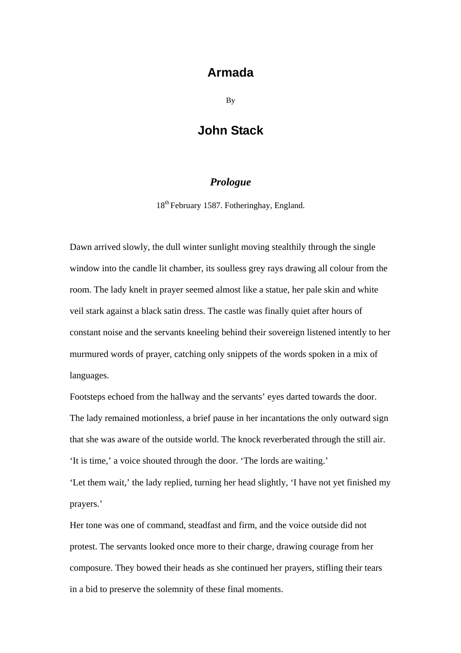## **Armada**

By

## **John Stack**

## *Prologue*

18th February 1587. Fotheringhay, England.

Dawn arrived slowly, the dull winter sunlight moving stealthily through the single window into the candle lit chamber, its soulless grey rays drawing all colour from the room. The lady knelt in prayer seemed almost like a statue, her pale skin and white veil stark against a black satin dress. The castle was finally quiet after hours of constant noise and the servants kneeling behind their sovereign listened intently to her murmured words of prayer, catching only snippets of the words spoken in a mix of languages.

Footsteps echoed from the hallway and the servants' eyes darted towards the door. The lady remained motionless, a brief pause in her incantations the only outward sign that she was aware of the outside world. The knock reverberated through the still air. 'It is time,' a voice shouted through the door. 'The lords are waiting.'

'Let them wait,' the lady replied, turning her head slightly, 'I have not yet finished my prayers.'

Her tone was one of command, steadfast and firm, and the voice outside did not protest. The servants looked once more to their charge, drawing courage from her composure. They bowed their heads as she continued her prayers, stifling their tears in a bid to preserve the solemnity of these final moments.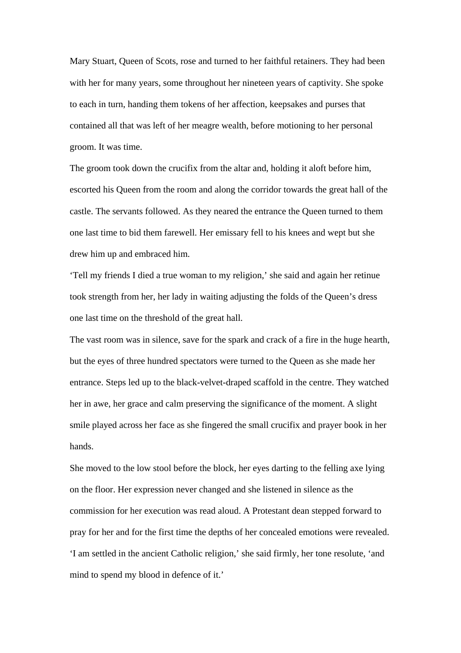Mary Stuart, Queen of Scots, rose and turned to her faithful retainers. They had been with her for many years, some throughout her nineteen years of captivity. She spoke to each in turn, handing them tokens of her affection, keepsakes and purses that contained all that was left of her meagre wealth, before motioning to her personal groom. It was time.

The groom took down the crucifix from the altar and, holding it aloft before him, escorted his Queen from the room and along the corridor towards the great hall of the castle. The servants followed. As they neared the entrance the Queen turned to them one last time to bid them farewell. Her emissary fell to his knees and wept but she drew him up and embraced him.

'Tell my friends I died a true woman to my religion,' she said and again her retinue took strength from her, her lady in waiting adjusting the folds of the Queen's dress one last time on the threshold of the great hall.

The vast room was in silence, save for the spark and crack of a fire in the huge hearth, but the eyes of three hundred spectators were turned to the Queen as she made her entrance. Steps led up to the black-velvet-draped scaffold in the centre. They watched her in awe, her grace and calm preserving the significance of the moment. A slight smile played across her face as she fingered the small crucifix and prayer book in her hands.

She moved to the low stool before the block, her eyes darting to the felling axe lying on the floor. Her expression never changed and she listened in silence as the commission for her execution was read aloud. A Protestant dean stepped forward to pray for her and for the first time the depths of her concealed emotions were revealed. 'I am settled in the ancient Catholic religion,' she said firmly, her tone resolute, 'and mind to spend my blood in defence of it.'